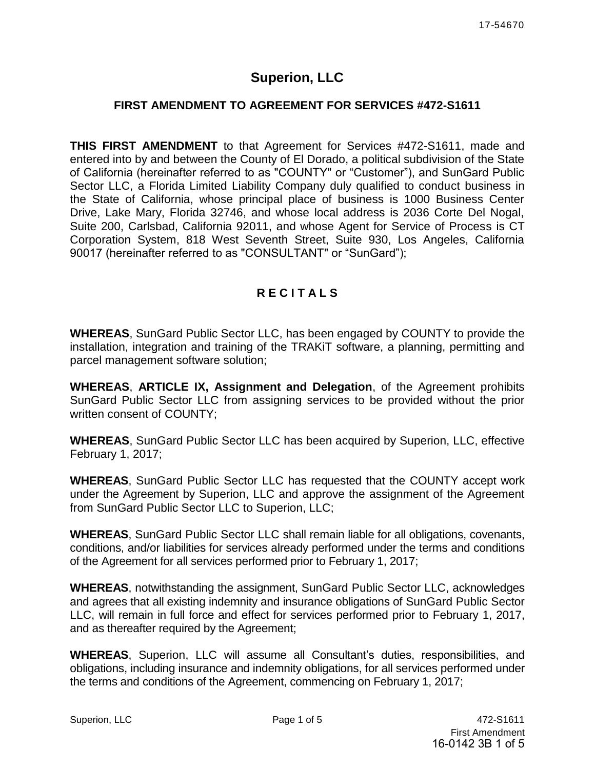# **Superion, LLC**

### **FIRST AMENDMENT TO AGREEMENT FOR SERVICES #472-S1611**

**THIS FIRST AMENDMENT** to that Agreement for Services #472-S1611, made and entered into by and between the County of El Dorado, a political subdivision of the State of California (hereinafter referred to as "COUNTY" or "Customer"), and SunGard Public Sector LLC, a Florida Limited Liability Company duly qualified to conduct business in the State of California, whose principal place of business is 1000 Business Center Drive, Lake Mary, Florida 32746, and whose local address is 2036 Corte Del Nogal, Suite 200, Carlsbad, California 92011, and whose Agent for Service of Process is CT Corporation System, 818 West Seventh Street, Suite 930, Los Angeles, California 90017 (hereinafter referred to as "CONSULTANT" or "SunGard");

### **R E C I T A L S**

**WHEREAS**, SunGard Public Sector LLC, has been engaged by COUNTY to provide the installation, integration and training of the TRAKiT software, a planning, permitting and parcel management software solution;

**WHEREAS**, **ARTICLE IX, Assignment and Delegation**, of the Agreement prohibits SunGard Public Sector LLC from assigning services to be provided without the prior written consent of COUNTY;

**WHEREAS**, SunGard Public Sector LLC has been acquired by Superion, LLC, effective February 1, 2017;

**WHEREAS**, SunGard Public Sector LLC has requested that the COUNTY accept work under the Agreement by Superion, LLC and approve the assignment of the Agreement from SunGard Public Sector LLC to Superion, LLC;

**WHEREAS**, SunGard Public Sector LLC shall remain liable for all obligations, covenants, conditions, and/or liabilities for services already performed under the terms and conditions of the Agreement for all services performed prior to February 1, 2017;

**WHEREAS**, notwithstanding the assignment, SunGard Public Sector LLC, acknowledges and agrees that all existing indemnity and insurance obligations of SunGard Public Sector LLC, will remain in full force and effect for services performed prior to February 1, 2017, and as thereafter required by the Agreement;

**WHEREAS**, Superion, LLC will assume all Consultant's duties, responsibilities, and obligations, including insurance and indemnity obligations, for all services performed under the terms and conditions of the Agreement, commencing on February 1, 2017;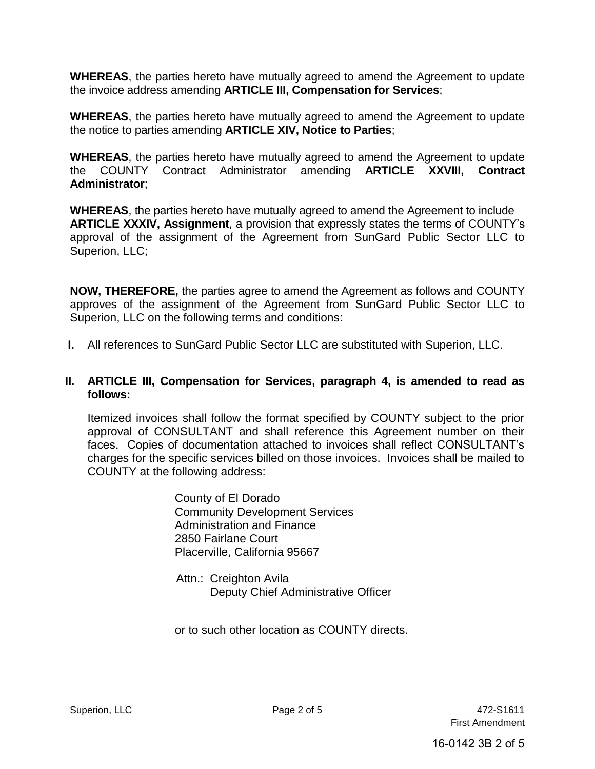**WHEREAS**, the parties hereto have mutually agreed to amend the Agreement to update the invoice address amending **ARTICLE III, Compensation for Services**;

**WHEREAS**, the parties hereto have mutually agreed to amend the Agreement to update the notice to parties amending **ARTICLE XIV, Notice to Parties**;

**WHEREAS**, the parties hereto have mutually agreed to amend the Agreement to update the COUNTY Contract Administrator amending **ARTICLE XXVIII, Contract Administrator**;

**WHEREAS**, the parties hereto have mutually agreed to amend the Agreement to include **ARTICLE XXXIV, Assignment**, a provision that expressly states the terms of COUNTY's approval of the assignment of the Agreement from SunGard Public Sector LLC to Superion, LLC;

**NOW, THEREFORE,** the parties agree to amend the Agreement as follows and COUNTY approves of the assignment of the Agreement from SunGard Public Sector LLC to Superion, LLC on the following terms and conditions:

**I.** All references to SunGard Public Sector LLC are substituted with Superion, LLC.

### **II. ARTICLE III, Compensation for Services, paragraph 4, is amended to read as follows:**

Itemized invoices shall follow the format specified by COUNTY subject to the prior approval of CONSULTANT and shall reference this Agreement number on their faces. Copies of documentation attached to invoices shall reflect CONSULTANT's charges for the specific services billed on those invoices. Invoices shall be mailed to COUNTY at the following address:

> County of El Dorado Community Development Services Administration and Finance 2850 Fairlane Court Placerville, California 95667

 Attn.: Creighton Avila Deputy Chief Administrative Officer

or to such other location as COUNTY directs.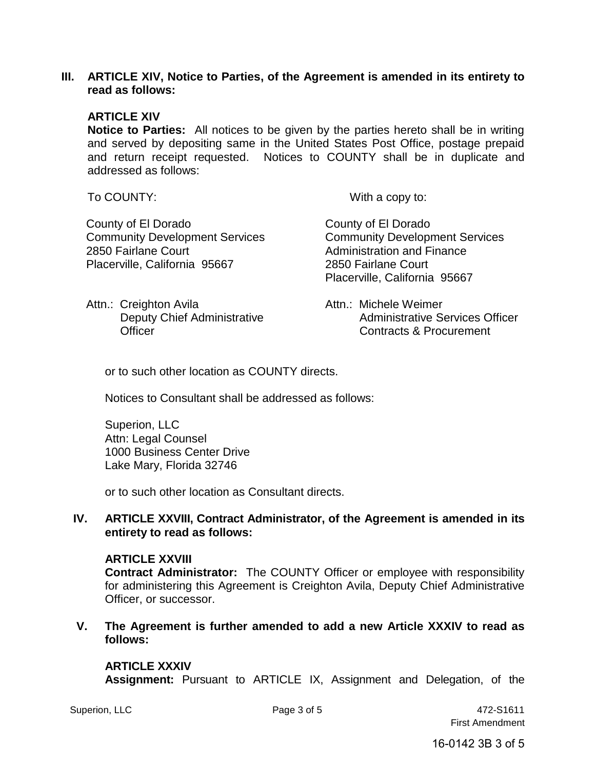#### **III. ARTICLE XIV, Notice to Parties, of the Agreement is amended in its entirety to read as follows:**

#### **ARTICLE XIV**

**Notice to Parties:** All notices to be given by the parties hereto shall be in writing and served by depositing same in the United States Post Office, postage prepaid and return receipt requested. Notices to COUNTY shall be in duplicate and addressed as follows:

Attn.: Creighton Avila

**Officer** 

To COUNTY: With a copy to:

 County of El Dorado Community Development Services 2850 Fairlane Court Placerville, California 95667

 County of El Dorado Community Development Services Administration and Finance 2850 Fairlane Court Placerville, California 95667

 Deputy Chief Administrative Attn.: Michele Weimer Administrative Services Officer Contracts & Procurement

or to such other location as COUNTY directs.

Notices to Consultant shall be addressed as follows:

Superion, LLC Attn: Legal Counsel 1000 Business Center Drive Lake Mary, Florida 32746

or to such other location as Consultant directs.

#### **IV. ARTICLE XXVIII, Contract Administrator, of the Agreement is amended in its entirety to read as follows:**

#### **ARTICLE XXVIII**

**Contract Administrator:** The COUNTY Officer or employee with responsibility for administering this Agreement is Creighton Avila, Deputy Chief Administrative Officer, or successor.

**V. The Agreement is further amended to add a new Article XXXIV to read as follows:** 

#### **ARTICLE XXXIV**

**Assignment:** Pursuant to ARTICLE IX, Assignment and Delegation, of the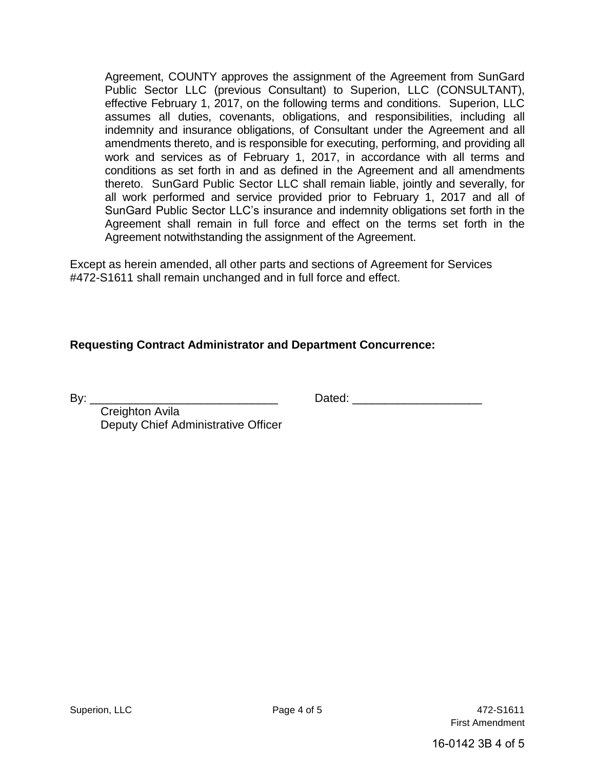Agreement, COUNTY approves the assignment of the Agreement from SunGard Public Sector LLC (previous Consultant) to Superion, LLC (CONSULTANT), effective February 1, 2017, on the following terms and conditions. Superion, LLC assumes all duties, covenants, obligations, and responsibilities, including all indemnity and insurance obligations, of Consultant under the Agreement and all amendments thereto, and is responsible for executing, performing, and providing all work and services as of February 1, 2017, in accordance with all terms and conditions as set forth in and as defined in the Agreement and all amendments thereto. SunGard Public Sector LLC shall remain liable, jointly and severally, for all work performed and service provided prior to February 1, 2017 and all of SunGard Public Sector LLC's insurance and indemnity obligations set forth in the Agreement shall remain in full force and effect on the terms set forth in the Agreement notwithstanding the assignment of the Agreement.

Except as herein amended, all other parts and sections of Agreement for Services #472-S1611 shall remain unchanged and in full force and effect.

### **Requesting Contract Administrator and Department Concurrence:**

By: \_\_\_\_\_\_\_\_\_\_\_\_\_\_\_\_\_\_\_\_\_\_\_\_\_\_\_\_\_ Dated: \_\_\_\_\_\_\_\_\_\_\_\_\_\_\_\_\_\_\_\_

 Creighton Avila Deputy Chief Administrative Officer